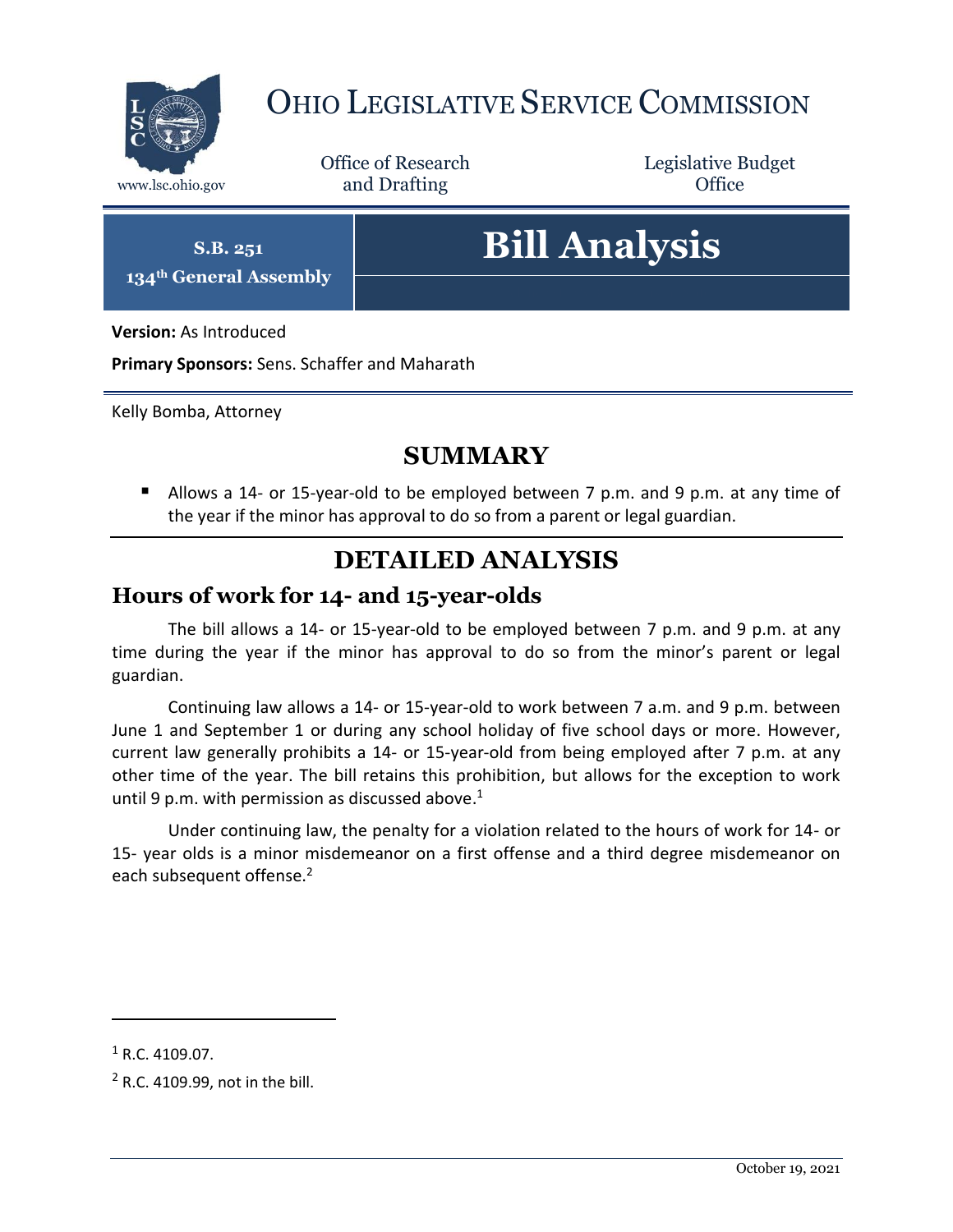

# OHIO LEGISLATIVE SERVICE COMMISSION

Office of Research www.lsc.ohio.gov **and Drafting Office** 

Legislative Budget

**S.B. 251 134th General Assembly**

# **Bill Analysis**

**Version:** As Introduced

**Primary Sponsors:** Sens. Schaffer and Maharath

Kelly Bomba, Attorney

## **SUMMARY**

 Allows a 14- or 15-year-old to be employed between 7 p.m. and 9 p.m. at any time of the year if the minor has approval to do so from a parent or legal guardian.

## **DETAILED ANALYSIS**

#### **Hours of work for 14- and 15-year-olds**

The bill allows a 14- or 15-year-old to be employed between 7 p.m. and 9 p.m. at any time during the year if the minor has approval to do so from the minor's parent or legal guardian.

Continuing law allows a 14- or 15-year-old to work between 7 a.m. and 9 p.m. between June 1 and September 1 or during any school holiday of five school days or more. However, current law generally prohibits a 14- or 15-year-old from being employed after 7 p.m. at any other time of the year. The bill retains this prohibition, but allows for the exception to work until 9 p.m. with permission as discussed above.<sup>1</sup>

Under continuing law, the penalty for a violation related to the hours of work for 14- or 15- year olds is a minor misdemeanor on a first offense and a third degree misdemeanor on each subsequent offense.<sup>2</sup>

 $\overline{a}$ 

 $1$  R.C. 4109.07.

 $2$  R.C. 4109.99, not in the bill.